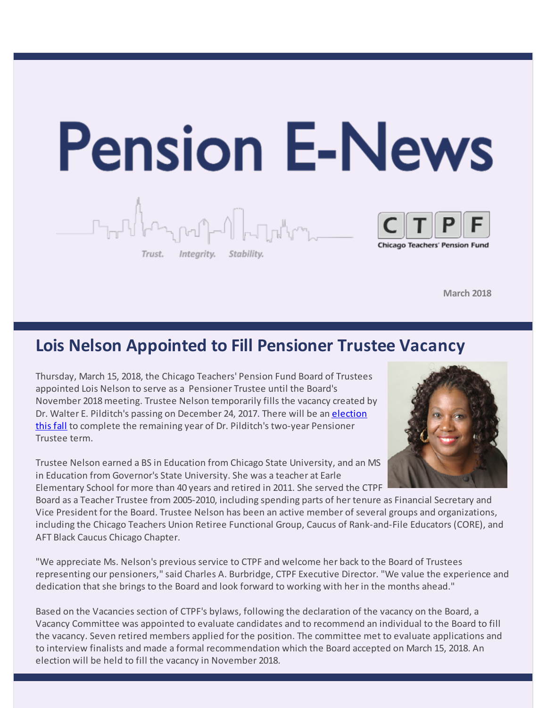

**March 2018**

### **Lois Nelson Appointed to Fill Pensioner Trustee Vacancy**

Thursday, March 15, 2018, the Chicago Teachers' Pension Fund Board of Trustees appointed Lois Nelson to serve as a Pensioner Trustee until the Board's November 2018 meeting. Trustee Nelson temporarily fills the vacancy created by Dr. Walter E. Pilditch's passing on [December](http://r20.rs6.net/tn.jsp?f=00165QRqlhftMxTEgLE9JFCVkULOnA4qD90c8XV2aPHWw98YuQi7-4eOiQBKD1r6RZutz0pXyprmZli94G6VFgMPBAhy8oVf5wTybJFoDHR5mMATqpkj1ljSS2KqYBoXo8pfBGxC5J41Lknj0sghDpxd2V0GCcaGDSUx8JhjhtW3gUVcChKYSBYtTL30dpVX_drWomM39kc3Ok=&c=&ch=) 24, 2017. There will be an election this fall to complete the remaining year of Dr. Pilditch's two-year Pensioner Trustee term.

Trustee Nelson earned a BS in Education from Chicago State University, and an MS in Education from Governor's State University. She was a teacher at Earle Elementary School for more than 40 years and retired in 2011. She served the CTPF

Board as a Teacher Trustee from 2005-2010, including spending parts of her tenure as Financial Secretary and Vice President for the Board. Trustee Nelson has been an active member of several groups and organizations, including the Chicago Teachers Union Retiree Functional Group, Caucus of Rank-and-File Educators (CORE), and AFT Black Caucus Chicago Chapter.

"We appreciate Ms. Nelson's previous service to CTPF and welcome her back to the Board of Trustees representing our pensioners," said Charles A. Burbridge, CTPF Executive Director. "We value the experience and dedication that she brings to the Board and look forward to working with her in the months ahead."

Based on the Vacancies section of CTPF's bylaws, following the declaration of the vacancy on the Board, a Vacancy Committee was appointed to evaluate candidates and to recommend an individual to the Board to fill the vacancy. Seven retired members applied for the position. The committee met to evaluate applications and to interview finalists and made a formal recommendation which the Board accepted on March 15, 2018. An election will be held to fill the vacancy in November 2018.

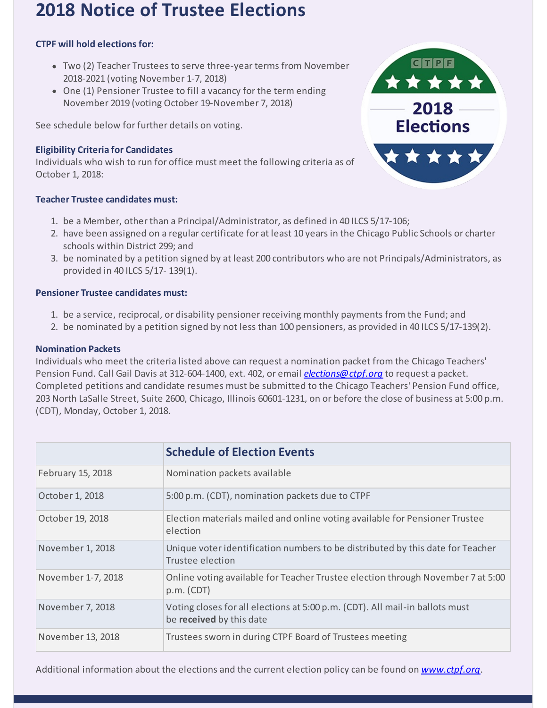# **2018 Notice of Trustee Elections**

### **CTPF will hold elections for:**

- Two (2) Teacher Trustees to serve three-year terms from November 2018-2021 (voting November 1-7, 2018)
- One (1) Pensioner Trustee to fill a vacancy for the term ending November 2019 (voting October 19-November 7, 2018)

See schedule below for further details on voting.

### **Eligibility Criteria for Candidates**

Individuals who wish to run for office must meet the following criteria as of October 1, 2018:

#### **Teacher Trustee candidates must:**

- 1. be a Member, other than a Principal/Administrator, as defined in 40 ILCS 5/17-106;
- 2. have been assigned on a regular certificate for at least 10 years in the Chicago Public Schools or charter schools within District 299; and
- 3. be nominated by a petition signed by at least 200 contributors who are not Principals/Administrators, as provided in 40 ILCS 5/17- 139(1).

#### **Pensioner Trustee candidates must:**

- 1. be a service, reciprocal, or disability pensioner receiving monthly payments from the Fund; and
- 2. be nominated by a petition signed by not less than 100 pensioners, as provided in 40 ILCS 5/17-139(2).

#### **Nomination Packets**

Individuals who meet the criteria listed above can request a nomination packet from the Chicago Teachers' Pension Fund. Call Gail Davis at 312-604-1400, ext. 402, or email *[elections@ctpf.org](mailto:elections@ctpf.org)* to request a packet. Completed petitions and candidate resumes must be submitted to the Chicago Teachers' Pension Fund office, 203 North LaSalle Street, Suite 2600, Chicago, Illinois 60601-1231, on or before the close of business at 5:00 p.m. (CDT), Monday, October 1, 2018.

|                    | <b>Schedule of Election Events</b>                                                                       |
|--------------------|----------------------------------------------------------------------------------------------------------|
| February 15, 2018  | Nomination packets available                                                                             |
| October 1, 2018    | 5:00 p.m. (CDT), nomination packets due to CTPF                                                          |
| October 19, 2018   | Election materials mailed and online voting available for Pensioner Trustee<br>election                  |
| November 1, 2018   | Unique voter identification numbers to be distributed by this date for Teacher<br>Trustee election       |
| November 1-7, 2018 | Online voting available for Teacher Trustee election through November 7 at 5:00<br>p.m. (CDT)            |
| November 7, 2018   | Voting closes for all elections at 5:00 p.m. (CDT). All mail-in ballots must<br>be received by this date |
| November 13, 2018  | Trustees sworn in during CTPF Board of Trustees meeting                                                  |



Additional information about the elections and the current election policy can be found on *[www.ctpf.org](http://r20.rs6.net/tn.jsp?f=00165QRqlhftMxTEgLE9JFCVkULOnA4qD90c8XV2aPHWw98YuQi7-4eOiQBKD1r6RZutz0pXyprmZli94G6VFgMPBAhy8oVf5wTybJFoDHR5mMATqpkj1ljSS2KqYBoXo8pfBGxC5J41Lknj0sghDpxd2V0GCcaGDSUx8JhjhtW3gUVcChKYSBYtTL30dpVX_drWomM39kc3Ok=&c=&ch=)*.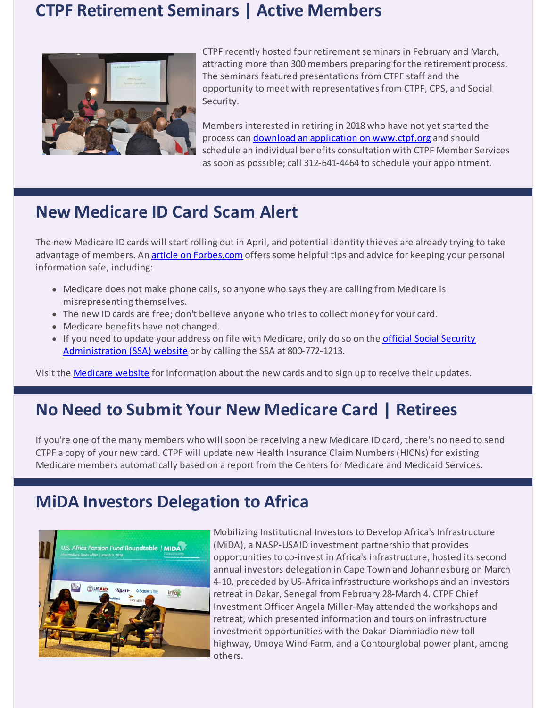### **CTPF Retirement Seminars | Active Members**



CTPF recently hosted four retirement seminars in February and March, attracting more than 300 members preparing for the retirement process. The seminars featured presentations from CTPF staff and the opportunity to meet with representatives from CTPF, CPS, and Social Security.

Members interested in retiring in 2018 who have not yet started the process can download an application on [www.ctpf.org](http://r20.rs6.net/tn.jsp?f=00165QRqlhftMxTEgLE9JFCVkULOnA4qD90c8XV2aPHWw98YuQi7-4eOnd7hOTZ6V_xJhMpHt56_r7YTPoSl-6aNnIq9jktKV2V8Nl3qM9IhCwnf5JRGlbJjQB8a4Qs_M-EqIUgqH8PeeAGhnwzbWZnV7wG6X41W0zg_HFPG6KnZ3X6FQYmHrkyMDbXXwvbXvl15sr8BTTSC-EuyAWYF5HBPg==&c=&ch=) and should schedule an individual benefits consultation with CTPF Member Services as soon as possible; call 312-641-4464 to schedule your appointment.

# **New Medicare ID Card Scam Alert**

The new Medicare ID cards will start rolling out in April, and potential identity thieves are already trying to take advantage of members. An article on [Forbes.com](http://r20.rs6.net/tn.jsp?f=00165QRqlhftMxTEgLE9JFCVkULOnA4qD90c8XV2aPHWw98YuQi7-4eOnd7hOTZ6V_xqtRHad3Q1-LiPZUvOvEJNuOPDj0BxKFUR17So4icMlkVLiYHXLQJgCjCEXRq7Qte8y-vHU-ooQaOTywiv40WyVPNYicHQep09xd4brmfAbBVKnf0ovnTkGI_HV4jiVUQ8sFJ33Y1e-rlyU_4Hp2YachkuTsKbfKCx4RQc7RIfWOvveS_L7a2yle2FNkppoB2vDTOpUGXqD6PteUuFL0qNA==&c=&ch=) offers some helpful tips and advice for keeping your personal information safe, including:

- Medicare does not make phone calls, so anyone who says they are calling from Medicare is misrepresenting themselves.
- The new ID cards are free; don't believe anyone who tries to collect money for your card.
- Medicare benefits have not changed.
- If you need to update your address on file with Medicare, only do so on the *official Social Security* [Administration](http://r20.rs6.net/tn.jsp?f=00165QRqlhftMxTEgLE9JFCVkULOnA4qD90c8XV2aPHWw98YuQi7-4eOnd7hOTZ6V_xwpoDx7QZ3gvkboabIf3dxEPRUYxPCxWRXOAsU-GCzXgSwS9u4mfOXHo-VwfsTUawfUlcVlCfhE6cAJyziukboPi7cYoKqC5hewh-X1RHCFo6Wfzd6isUaQ==&c=&ch=) (SSA) website or by calling the SSA at 800-772-1213.

Visit the [Medicare](http://r20.rs6.net/tn.jsp?f=00165QRqlhftMxTEgLE9JFCVkULOnA4qD90c8XV2aPHWw98YuQi7-4eOjSttAPnYJEDR4hEcLECTLpfOBDyX7lc-mWR01JJwOoFSSisSid-mFrs7lGeAt155oDAT0laIcalwi1jzatIKnqZWmyhxV4cOrLvrXcb_yhkz2eWMNNIRzk=&c=&ch=) website for information about the new cards and to sign up to receive their updates.

# **No Need to Submit Your New Medicare Card | Retirees**

If you're one of the many members who will soon be receiving a new Medicare ID card, there's no need to send CTPF a copy of your new card. CTPF will update new Health Insurance Claim Numbers (HICNs) for existing Medicare members automatically based on a report from the Centers for Medicare and Medicaid Services.

### **MiDA Investors Delegation to Africa**



Mobilizing Institutional Investors to Develop Africa's Infrastructure (MiDA), a NASP-USAID investment partnership that provides opportunities to co-invest in Africa's infrastructure, hosted its second annual investors delegation in Cape Town and Johannesburg on March 4-10, preceded by US-Africa infrastructure workshops and an investors retreat in Dakar, Senegal from February 28-March 4. CTPF Chief Investment Officer Angela Miller-May attended the workshops and retreat, which presented information and tours on infrastructure investment opportunities with the Dakar-Diamniadio new toll highway, Umoya Wind Farm, and a Contourglobal power plant, among others.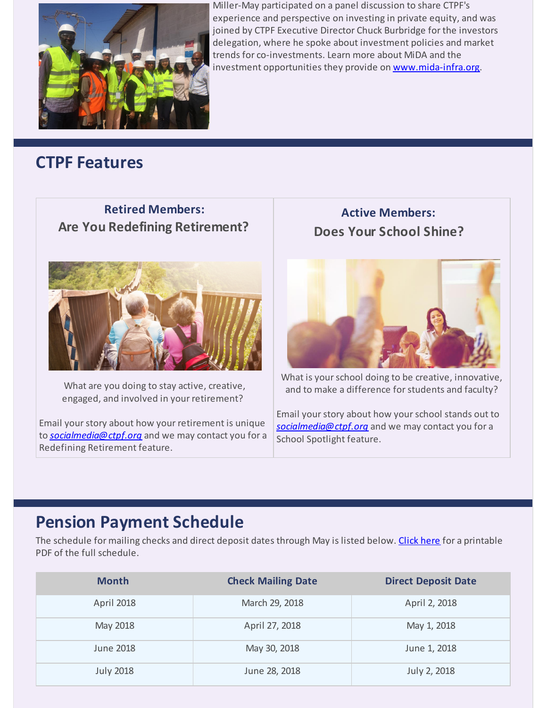

Miller-May participated on a panel discussion to share CTPF's experience and perspective on investing in private equity, and was joined by CTPF Executive Director Chuck Burbridge for the investors delegation, where he spoke about investment policies and market trends for co-investments. Learn more about MiDA and the investment opportunities they provide on [www.mida-infra.org](http://r20.rs6.net/tn.jsp?f=00165QRqlhftMxTEgLE9JFCVkULOnA4qD90c8XV2aPHWw98YuQi7-4eOnd7hOTZ6V_x-iIBaDM87ymTVFx1tZZaXXmN84wybp33Y25PUd2V7BVs5FLAH7NO3vCzTUHLgbpYLw896JVLxIkMyf2BiycTDvowOl15S8zoslClaLHVPhHg6nlyI0h8mg==&c=&ch=).

### **CTPF Features**

### **Retired Members: Are You Redefining Retirement?**



What are you doing to stay active, creative, engaged, and involved in your retirement?

Email your story about how your retirement is unique to *[socialmedia@ctpf.org](mailto:socialmedia@ctpf.org)* and we may contact you for a Redefining Retirement feature.

**Active Members: Does Your School Shine?**



What is your school doing to be creative, innovative, and to make a difference for students and faculty?

Email yourstory about how yourschool stands out to *[socialmedia@ctpf.org](mailto:socialmedia@ctpf.org)* and we may contact you for a School Spotlight feature.

# **Pension Payment Schedule**

The schedule for mailing checks and direct deposit dates through May is listed below. [Click](http://r20.rs6.net/tn.jsp?f=00165QRqlhftMxTEgLE9JFCVkULOnA4qD90c8XV2aPHWw98YuQi7-4eOniRvsrK-2U34dkzMLVJRGZi74-fnV-pdxtqw8-5txNPsMiGsH8VnKhbyRGfzbHv_KPzfzp6n6eriz63YR10rzNFyLYhfqYgwCiLoSFGwJ0h18FsAzSIdZTttuZdrPGKtWKCYVf-NV5Vsnt5iyIpftgwITLmSntvkA==&c=&ch=) here for a printable PDF of the full schedule.

| <b>Month</b>      | <b>Check Mailing Date</b> | <b>Direct Deposit Date</b> |
|-------------------|---------------------------|----------------------------|
| <b>April 2018</b> | March 29, 2018            | April 2, 2018              |
| May 2018          | April 27, 2018            | May 1, 2018                |
| June 2018         | May 30, 2018              | June 1, 2018               |
| <b>July 2018</b>  | June 28, 2018             | July 2, 2018               |